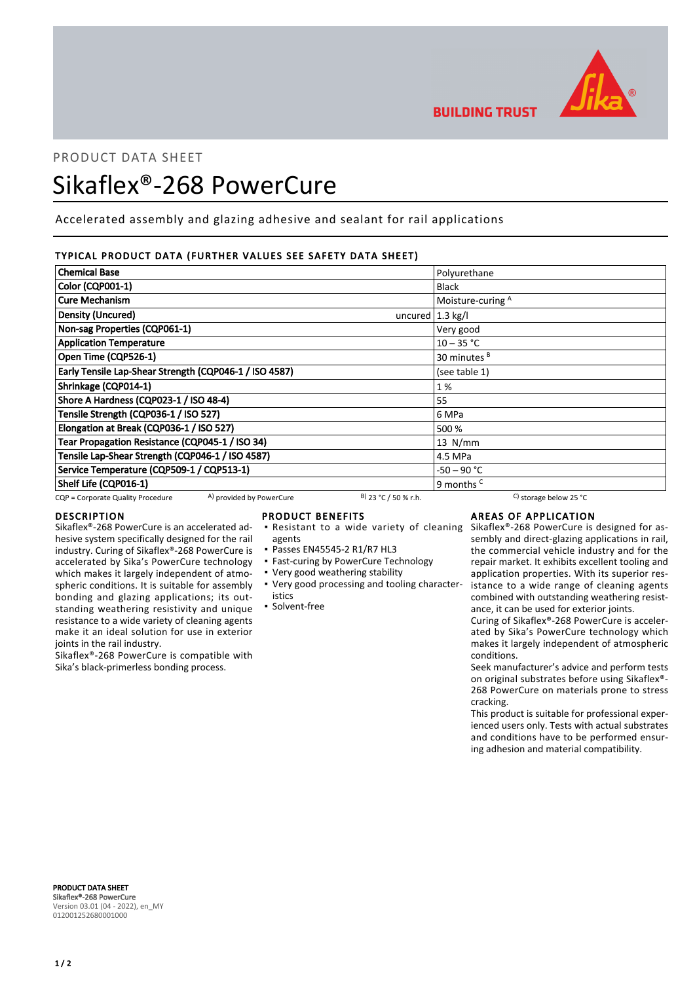

**BUILDING TRUST** 

# PRODUCT DATA SHEET

# Sikaflex®-268 PowerCure

Accelerated assembly and glazing adhesive and sealant for rail applications

# TYPICAL PRODUCT DATA (FURTHER VALUES SEE SAFETY DATA SHEET)

| <b>Chemical Base</b>                                          |                             | Polyurethane             |
|---------------------------------------------------------------|-----------------------------|--------------------------|
| Color (CQP001-1)                                              |                             | <b>Black</b>             |
| <b>Cure Mechanism</b>                                         |                             | Moisture-curing A        |
| Density (Uncured)                                             | uncured $ 1.3 \text{ kg}/I$ |                          |
| Non-sag Properties (CQP061-1)                                 |                             | Very good                |
| <b>Application Temperature</b>                                |                             | $10 - 35 °C$             |
| Open Time (CQP526-1)                                          |                             | 30 minutes <sup>B</sup>  |
| Early Tensile Lap-Shear Strength (CQP046-1 / ISO 4587)        |                             | (see table 1)            |
| Shrinkage (CQP014-1)                                          |                             | 1%                       |
| Shore A Hardness (CQP023-1 / ISO 48-4)                        |                             | 55                       |
| Tensile Strength (CQP036-1 / ISO 527)                         |                             | 6 MPa                    |
| Elongation at Break (CQP036-1 / ISO 527)                      |                             | 500 %                    |
| Tear Propagation Resistance (CQP045-1 / ISO 34)               |                             | $13$ N/mm                |
| Tensile Lap-Shear Strength (CQP046-1 / ISO 4587)              |                             | 4.5 MPa                  |
| Service Temperature (CQP509-1 / CQP513-1)                     |                             | -50 – 90 °C              |
| Shelf Life (CQP016-1)                                         |                             | 9 months <sup>c</sup>    |
| A) provided by PowerCure<br>CQP = Corporate Quality Procedure | $B)$ 23 °C / 50 % r.h.      | C) storage below 25 $°C$ |

# DESCRIPTION

Sikaflex®-268 PowerCure is an accelerated adhesive system specifically designed for the rail industry. Curing of Sikaflex®-268 PowerCure is accelerated by Sika's PowerCure technology which makes it largely independent of atmospheric conditions. It is suitable for assembly bonding and glazing applications; its outstanding weathering resistivity and unique resistance to a wide variety of cleaning agents make it an ideal solution for use in exterior joints in the rail industry.

Sikaflex®-268 PowerCure is compatible with Sika's black-primerless bonding process.

# PRODUCT BENEFITS

- **Resistant to a wide variety of cleaning**
- agents
- Passes EN45545-2 R1/R7 HL3
- **East-curing by PowerCure Technology**
- Very good weathering stability
- Very good processing and tooling character-▪ istics
- Solvent-free

# AREAS OF APPLICATION

Sikaflex®-268 PowerCure is designed for assembly and direct-glazing applications in rail, the commercial vehicle industry and for the repair market. It exhibits excellent tooling and application properties. With its superior resistance to a wide range of cleaning agents combined with outstanding weathering resistance, it can be used for exterior joints.

Curing of Sikaflex®-268 PowerCure is accelerated by Sika's PowerCure technology which makes it largely independent of atmospheric conditions.

Seek manufacturer's advice and perform tests on original substrates before using Sikaflex®- 268 PowerCure on materials prone to stress cracking.

This product is suitable for professional experienced users only. Tests with actual substrates and conditions have to be performed ensuring adhesion and material compatibility.

PRODUCT DATA SHEET Sikaflex®-268 PowerCure Version 03.01 (04 - 2022), en\_MY 012001252680001000